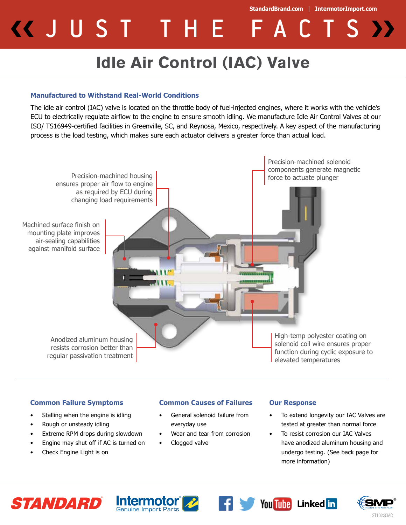**StandardBrand.com** | **IntermotorImport.com** KUUST THE FACTS *Y* 

## **Idle Air Control (IAC) Valve**

## **Manufactured to Withstand Real-World Conditions**

The idle air control (IAC) valve is located on the throttle body of fuel-injected engines, where it works with the vehicle's ECU to electrically regulate airflow to the engine to ensure smooth idling. We manufacture Idle Air Control Valves at our ISO/ TS16949-certified facilities in Greenville, SC, and Reynosa, Mexico, respectively. A key aspect of the manufacturing process is the load testing, which makes sure each actuator delivers a greater force than actual load.



## **Common Failure Symptoms**

- Stalling when the engine is idling
- Rough or unsteady idling
- Extreme RPM drops during slowdown
- Engine may shut off if AC is turned on
- Check Engine Light is on

## **Common Causes of Failures**

- General solenoid failure from everyday use
- Wear and tear from corrosion
- Clogged valve

#### **Our Response**

- To extend longevity our IAC Valves are tested at greater than normal force
- To resist corrosion our IAC Valves have anodized aluminum housing and undergo testing. (See back page for more information)